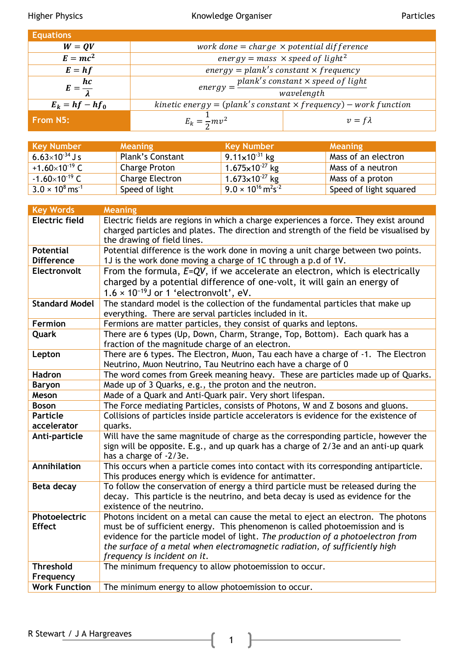Higher Physics **Exercise State Communist Communist Communist Communist Communist Communist Communist Communist Communist Communist Particles** 

| <b>Equations</b>       |                                                                        |                |  |
|------------------------|------------------------------------------------------------------------|----------------|--|
| $W = QV$               | work done = charge $\times$ potential difference                       |                |  |
| $E = mc^2$             | energy = mass $\times$ speed of light <sup>2</sup>                     |                |  |
| $E = hf$               | $energy = plank's constant \times frequency$                           |                |  |
| $E=\frac{hc}{\lambda}$ | plank's constant $\times$ speed of light<br>$energy =$ <sup>r</sup>    |                |  |
|                        |                                                                        | wavelength     |  |
| $E_k = hf - hf_0$      | kinetic energy = $(plank's constant \times frequency)$ – work function |                |  |
| From N5:               | $E_k = \frac{1}{2}mv^2$                                                | $v = f\lambda$ |  |

| <b>Key Number</b>                  | <b>Meaning</b>   | <b>Key Number</b>                                   | <b>Meaning</b>         |
|------------------------------------|------------------|-----------------------------------------------------|------------------------|
| $6.63\times10^{-34}$ J s           | Plank's Constant | 9.11×10 <sup>-31</sup> kg                           | Mass of an electron    |
| +1.60 $\times$ 10 <sup>-19</sup> C | Charge Proton    | $1.675 \times 10^{-27}$ kg                          | Mass of a neutron      |
| $-1.60\times10^{-19}$ C            | Charge Electron  | $1.673\times10^{-27}$ kg                            | Mass of a proton       |
| $3.0 \times 10^8$ ms <sup>-1</sup> | Speed of light   | $9.0 \times 10^{16}$ m <sup>2</sup> s <sup>-2</sup> | Speed of light squared |

| <b>Key Words</b>      | <b>Meaning</b>                                                                         |  |  |
|-----------------------|----------------------------------------------------------------------------------------|--|--|
| <b>Electric field</b> | Electric fields are regions in which a charge experiences a force. They exist around   |  |  |
|                       | charged particles and plates. The direction and strength of the field be visualised by |  |  |
|                       | the drawing of field lines.                                                            |  |  |
| <b>Potential</b>      | Potential difference is the work done in moving a unit charge between two points.      |  |  |
| <b>Difference</b>     | 1J is the work done moving a charge of 1C through a p.d of 1V.                         |  |  |
| Electronvolt          | From the formula, $E=QV$ , if we accelerate an electron, which is electrically         |  |  |
|                       | charged by a potential difference of one-volt, it will gain an energy of               |  |  |
|                       | $1.6 \times 10^{-19}$ J or 1 'electronvolt', eV.                                       |  |  |
| <b>Standard Model</b> | The standard model is the collection of the fundamental particles that make up         |  |  |
|                       | everything. There are serval particles included in it.                                 |  |  |
| Fermion               | Fermions are matter particles, they consist of quarks and leptons.                     |  |  |
| Quark                 | There are 6 types (Up, Down, Charm, Strange, Top, Bottom). Each quark has a            |  |  |
|                       | fraction of the magnitude charge of an electron.                                       |  |  |
| Lepton                | There are 6 types. The Electron, Muon, Tau each have a charge of -1. The Electron      |  |  |
|                       | Neutrino, Muon Neutrino, Tau Neutrino each have a charge of 0                          |  |  |
| <b>Hadron</b>         | The word comes from Greek meaning heavy. These are particles made up of Quarks.        |  |  |
| <b>Baryon</b>         | Made up of 3 Quarks, e.g., the proton and the neutron.                                 |  |  |
| Meson                 | Made of a Quark and Anti-Quark pair. Very short lifespan.                              |  |  |
| <b>Boson</b>          | The Force mediating Particles, consists of Photons, W and Z bosons and gluons.         |  |  |
| <b>Particle</b>       | Collisions of particles inside particle accelerators is evidence for the existence of  |  |  |
| accelerator           | quarks.                                                                                |  |  |
| Anti-particle         | Will have the same magnitude of charge as the corresponding particle, however the      |  |  |
|                       | sign will be opposite. E.g., and up quark has a charge of 2/3e and an anti-up quark    |  |  |
|                       | has a charge of -2/3e.                                                                 |  |  |
| Annihilation          | This occurs when a particle comes into contact with its corresponding antiparticle.    |  |  |
|                       | This produces energy which is evidence for antimatter.                                 |  |  |
| Beta decay            | To follow the conservation of energy a third particle must be released during the      |  |  |
|                       | decay. This particle is the neutrino, and beta decay is used as evidence for the       |  |  |
|                       | existence of the neutrino.                                                             |  |  |
| Photoelectric         | Photons incident on a metal can cause the metal to eject an electron. The photons      |  |  |
| <b>Effect</b>         | must be of sufficient energy. This phenomenon is called photoemission and is           |  |  |
|                       | evidence for the particle model of light. The production of a photoelectron from       |  |  |
|                       | the surface of a metal when electromagnetic radiation, of sufficiently high            |  |  |
|                       | frequency is incident on it.                                                           |  |  |
| <b>Threshold</b>      | The minimum frequency to allow photoemission to occur.                                 |  |  |
| Frequency             |                                                                                        |  |  |
| <b>Work Function</b>  | The minimum energy to allow photoemission to occur.                                    |  |  |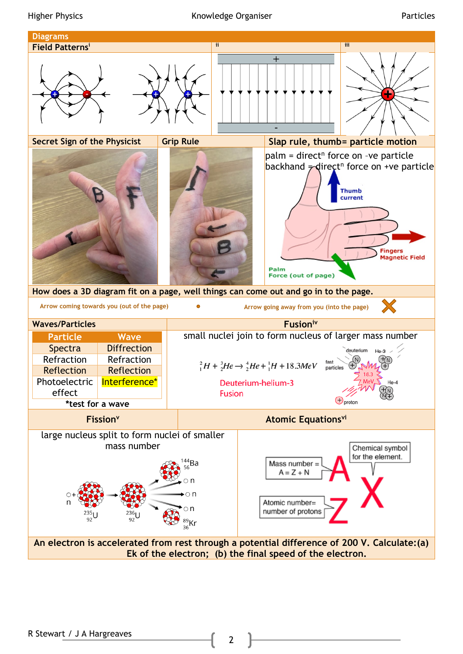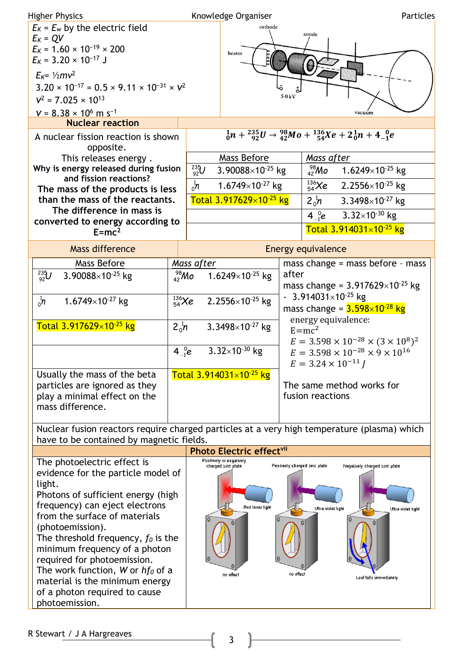| <b>Higher Physics</b>                                                                                                                                                                                                                                                                                                                                                                                                                         |                   |                                        | Knowledge Organiser                                                            |       | Particles                                                                                                                                         |  |  |
|-----------------------------------------------------------------------------------------------------------------------------------------------------------------------------------------------------------------------------------------------------------------------------------------------------------------------------------------------------------------------------------------------------------------------------------------------|-------------------|----------------------------------------|--------------------------------------------------------------------------------|-------|---------------------------------------------------------------------------------------------------------------------------------------------------|--|--|
| $E_K$ = $E_w$ by the electric field<br>$E_K = QV$<br>$E_K = 1.60 \times 10^{-19} \times 200$<br>$E_K$ = 3.20 $\times$ 10 <sup>-17</sup> J                                                                                                                                                                                                                                                                                                     |                   |                                        | cathode<br>heater                                                              |       | anode                                                                                                                                             |  |  |
| $E_{K} = \frac{1}{2}mv^2$<br>$3.20 \times 10^{-17} = 0.5 \times 9.11 \times 10^{-31} \times V^2$<br>$V^2$ = 7.025 $\times$ 10 <sup>13</sup>                                                                                                                                                                                                                                                                                                   |                   |                                        |                                                                                | 5.0kV |                                                                                                                                                   |  |  |
| $V = 8.38 \times 10^6$ m s <sup>-1</sup>                                                                                                                                                                                                                                                                                                                                                                                                      |                   |                                        |                                                                                |       | vacuum                                                                                                                                            |  |  |
| <b>Nuclear reaction</b><br>A nuclear fission reaction is shown<br>opposite.                                                                                                                                                                                                                                                                                                                                                                   |                   |                                        |                                                                                |       | $\frac{1}{0}n + \frac{235}{92}U \rightarrow \frac{98}{42}Mo + \frac{136}{54}Xe + 2\frac{1}{0}n + 4\frac{0}{1}e$                                   |  |  |
| This releases energy.                                                                                                                                                                                                                                                                                                                                                                                                                         |                   |                                        | Mass Before                                                                    |       | Mass after                                                                                                                                        |  |  |
| Why is energy released during fusion                                                                                                                                                                                                                                                                                                                                                                                                          |                   | $^{235}_{92}U$                         | 3.90088×10 $25$ kg                                                             |       | $^{98}_{42}$ Mo<br>1.6249×10 <sup>-25</sup> kg                                                                                                    |  |  |
| and fission reactions?                                                                                                                                                                                                                                                                                                                                                                                                                        |                   | $n_0^1$<br>1.6749×10 <sup>-27</sup> kg |                                                                                |       | $^{136}_{54}$ Xe<br>$2.2556\times10^{-25}$ kg                                                                                                     |  |  |
| The mass of the products is less<br>than the mass of the reactants.                                                                                                                                                                                                                                                                                                                                                                           |                   |                                        | Total 3.917629×10 <sup>-25</sup> kg                                            |       |                                                                                                                                                   |  |  |
| The difference in mass is                                                                                                                                                                                                                                                                                                                                                                                                                     |                   |                                        |                                                                                |       | $2\frac{1}{0}n$<br>$3.3498\times10^{27}$ kg                                                                                                       |  |  |
| converted to energy according to                                                                                                                                                                                                                                                                                                                                                                                                              |                   |                                        |                                                                                |       | $4\,^0_{-1}e$<br>$3.32\times10^{-30}$ kg                                                                                                          |  |  |
| $E=mc^2$                                                                                                                                                                                                                                                                                                                                                                                                                                      |                   |                                        |                                                                                |       | Total 3.914031×10 <sup>-25</sup> kg                                                                                                               |  |  |
| Mass difference                                                                                                                                                                                                                                                                                                                                                                                                                               |                   |                                        |                                                                                |       | <b>Energy equivalence</b>                                                                                                                         |  |  |
| Mass Before                                                                                                                                                                                                                                                                                                                                                                                                                                   |                   | Mass after                             |                                                                                |       | mass change $=$ mass before $-$ mass                                                                                                              |  |  |
| $^{235}_{92}U$<br>3.90088 $\times$ 10 <sup>-25</sup> kg                                                                                                                                                                                                                                                                                                                                                                                       | $^{98}_{42}$ Mo   |                                        | 1.6249×10 $25$ kg                                                              |       | after<br>mass change = $3.917629\times10^{-25}$ kg                                                                                                |  |  |
| $^{136}_{54}$ Xe<br>$n_0^1$<br>1.6749×10 $27$ kg                                                                                                                                                                                                                                                                                                                                                                                              |                   | $2.2556\times10^{-25}$ kg              |                                                                                |       | $-3.914031\times10^{-25}$ kg<br>mass change = $3.598 \times 10^{-28}$ kg                                                                          |  |  |
| Total 3.917629×10 <sup>-25</sup> kg                                                                                                                                                                                                                                                                                                                                                                                                           | $2\frac{1}{0}h$   | 3.3498 $\times$ 10 <sup>-27</sup> kg   |                                                                                |       | energy equivalence:<br>$E=mc^2$<br>$E = 3.598 \times 10^{-28} \times (3 \times 10^8)^2$                                                           |  |  |
|                                                                                                                                                                                                                                                                                                                                                                                                                                               | $4\,{}^{0}_{-1}e$ | $3.32\times10^{-30}$ kg                |                                                                                |       | $E = 3.598 \times 10^{-28} \times 9 \times 10^{16}$<br>$E = 3.24 \times 10^{-11}$ J                                                               |  |  |
| Usually the mass of the beta<br>particles are ignored as they<br>play a minimal effect on the<br>mass difference.                                                                                                                                                                                                                                                                                                                             |                   | Total 3.914031×10-25 kg                |                                                                                |       | The same method works for<br>fusion reactions                                                                                                     |  |  |
|                                                                                                                                                                                                                                                                                                                                                                                                                                               |                   |                                        |                                                                                |       | Nuclear fusion reactors require charged particles at a very high temperature (plasma) which                                                       |  |  |
| have to be contained by magnetic fields.                                                                                                                                                                                                                                                                                                                                                                                                      |                   |                                        |                                                                                |       |                                                                                                                                                   |  |  |
|                                                                                                                                                                                                                                                                                                                                                                                                                                               |                   |                                        | Photo Electric effectvii                                                       |       |                                                                                                                                                   |  |  |
| The photoelectric effect is<br>evidence for the particle model of<br>light.<br>Photons of sufficient energy (high<br>frequency) can eject electrons<br>from the surface of materials<br>(photoemission).<br>The threshold frequency, $f_0$ is the<br>minimum frequency of a photon<br>required for photoemission.<br>The work function, W or $hf_0$ of a<br>material is the minimum energy<br>of a photon required to cause<br>photoemission. |                   |                                        | Positively or negatively<br>charged zinc plate<br>Red laser light<br>no effect |       | Positively charged zinc plate<br>Negatively charged zinc plate<br>Ultra violet light<br>Ultra violet Irghi<br>no effect<br>Leaf falls immediately |  |  |

ŀ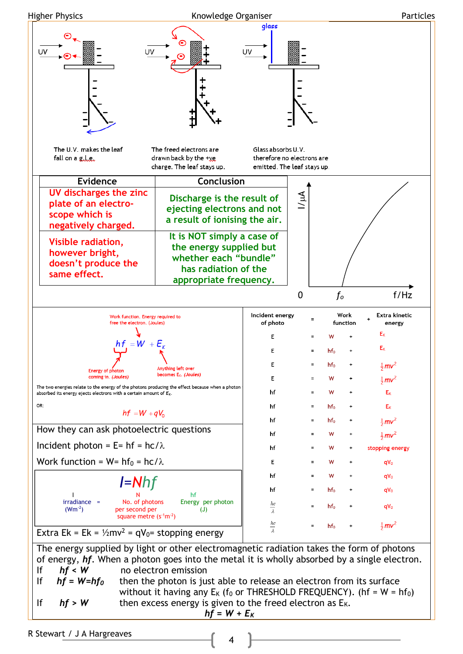

R Stewart / J A Hargreaves